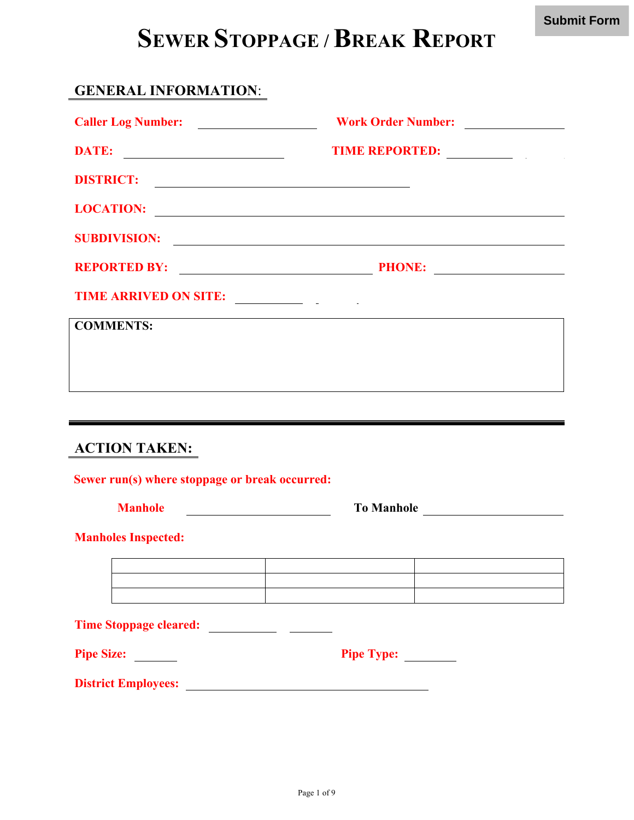## **SEWER STOPPAGE / BREAK REPORT**

#### **GENERAL INFORMATION**:

| Caller Log Number:                             | Work Order Number:                                                                                                                                                                                                             |
|------------------------------------------------|--------------------------------------------------------------------------------------------------------------------------------------------------------------------------------------------------------------------------------|
|                                                | TIME REPORTED: NAME OF STRAINING STRAINING STRAINING STRAINING STRAINING STRAINING STRAINING STRAINING STRAINING STRAINING STRAINING STRAINING STRAINING STRAINING STRAINING STRAINING STRAINING STRAINING STRAINING STRAINING |
| DISTRICT:                                      |                                                                                                                                                                                                                                |
|                                                | LOCATION:                                                                                                                                                                                                                      |
|                                                | SUBDIVISION:                                                                                                                                                                                                                   |
|                                                |                                                                                                                                                                                                                                |
| TIME ARRIVED ON SITE:                          |                                                                                                                                                                                                                                |
| <b>COMMENTS:</b>                               | <u> 1989 - Johann Stoff, amerikansk politiker (d. 1989)</u>                                                                                                                                                                    |
|                                                |                                                                                                                                                                                                                                |
|                                                |                                                                                                                                                                                                                                |
|                                                |                                                                                                                                                                                                                                |
| <b>ACTION TAKEN:</b>                           |                                                                                                                                                                                                                                |
| Sewer run(s) where stoppage or break occurred: |                                                                                                                                                                                                                                |
| <b>Manhole</b>                                 | To Manhole                                                                                                                                                                                                                     |
| <b>Manholes Inspected:</b>                     |                                                                                                                                                                                                                                |
|                                                |                                                                                                                                                                                                                                |
|                                                |                                                                                                                                                                                                                                |
|                                                |                                                                                                                                                                                                                                |
| Pipe Size:                                     | Pipe Type:                                                                                                                                                                                                                     |
|                                                |                                                                                                                                                                                                                                |
|                                                |                                                                                                                                                                                                                                |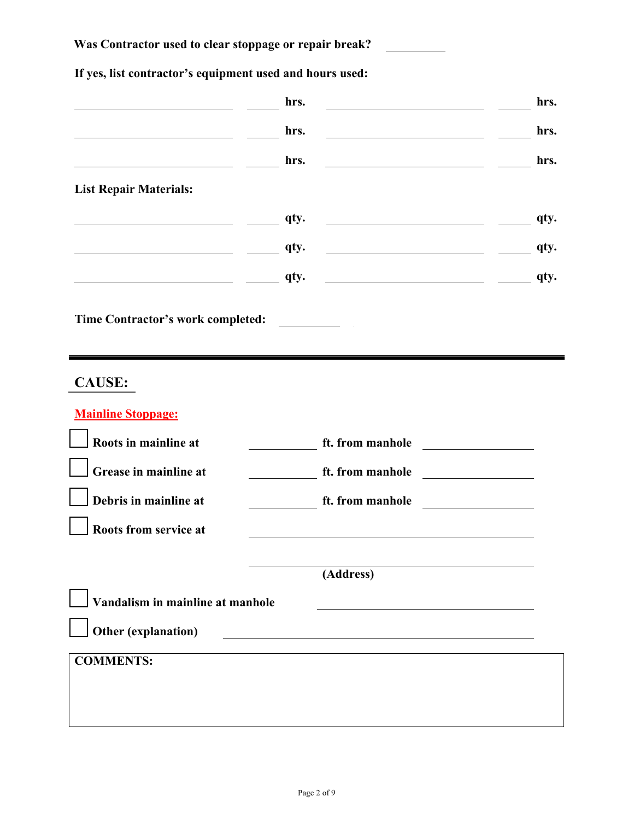#### **Was Contractor used to clear stoppage or repair break?**

# **hrs. hrs. hrs.** <u>**hrs. hrs. hrs. hrs. hrs. hrs.**</u> **hrs.** <u>**hrs. hrs. hrs. hrs. hrs. hrs.**</u> **List Repair Materials: and the contract of the contract of the contract of the contract of the contract of the contract of the contract of the contract of the contract of the contract of the contract of the contract of the contract of the contr a qty. <u>a qty. <u>a qty. dty. a qty. qty.**</u></u> **a qty. <u>and <b>qty. qty. a qty. a qty. a qty.**</u> **Time Contractor's work completed: CAUSE: Mainline Stoppage: Roots in mainline at ft. from manhole Grease in mainline at ft. from manhole Debris in mainline at ft. from manhole Roots from service at (Address) Vandalism in mainline at manhole Other (explanation) COMMENTS:**

**If yes, list contractor's equipment used and hours used:**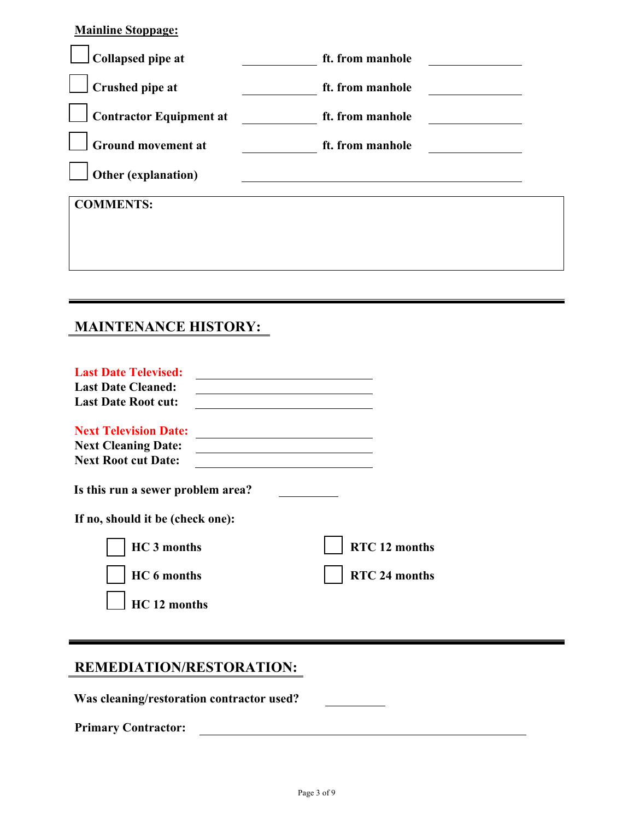| <u>Mainline Stoppage:</u>      |                  |  |
|--------------------------------|------------------|--|
| <b>Collapsed pipe at</b>       | ft. from manhole |  |
| Crushed pipe at                | ft. from manhole |  |
| <b>Contractor Equipment at</b> | ft. from manhole |  |
| <b>Ground movement at</b>      | ft. from manhole |  |
| Other (explanation)            |                  |  |
| <b>COMMENTS:</b>               |                  |  |
|                                |                  |  |
|                                |                  |  |
|                                |                  |  |

### **MAINTENANCE HISTORY:**

**Mainline Stoppage:**

| <b>Last Date Televised:</b>                                           |               |
|-----------------------------------------------------------------------|---------------|
| <b>Last Date Cleaned:</b>                                             |               |
| <b>Last Date Root cut:</b>                                            |               |
| <b>Next Television Date:</b>                                          |               |
| <b>Next Cleaning Date:</b>                                            |               |
| <b>Next Root cut Date:</b>                                            |               |
| Is this run a sewer problem area?<br>If no, should it be (check one): |               |
| <b>HC</b> 3 months                                                    | RTC 12 months |
| HC 6 months                                                           | RTC 24 months |
| HC 12 months                                                          |               |

## **REMEDIATION/RESTORATION:**

**Was cleaning/restoration contractor used?**

**Primary Contractor:**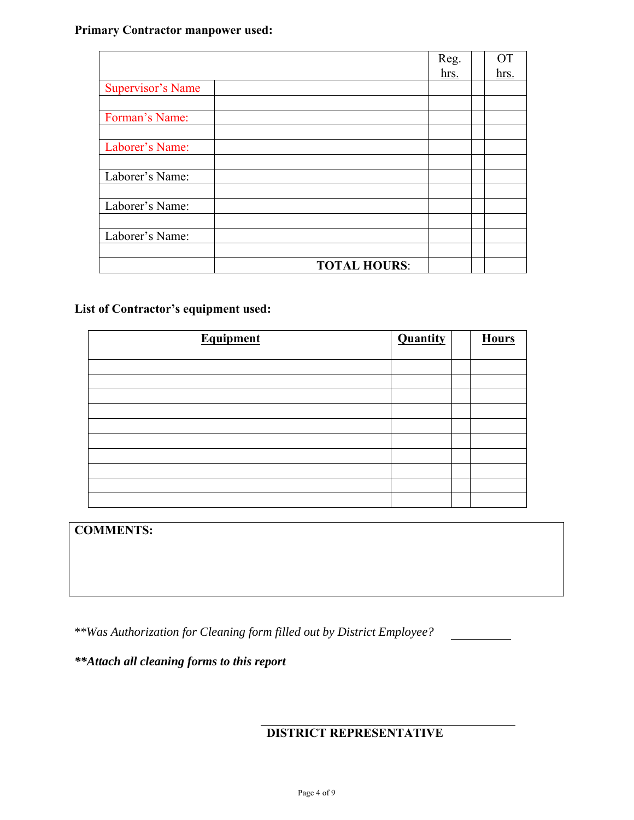#### **Primary Contractor manpower used:**

|                          | Reg.                | OΤ          |
|--------------------------|---------------------|-------------|
|                          | hrs.                | <u>hrs.</u> |
| <b>Supervisor's Name</b> |                     |             |
|                          |                     |             |
| Forman's Name:           |                     |             |
|                          |                     |             |
| Laborer's Name:          |                     |             |
|                          |                     |             |
| Laborer's Name:          |                     |             |
|                          |                     |             |
| Laborer's Name:          |                     |             |
|                          |                     |             |
| Laborer's Name:          |                     |             |
|                          |                     |             |
|                          | <b>TOTAL HOURS:</b> |             |

#### **List of Contractor's equipment used:**

| <b>Equipment</b> | <b>Quantity</b> | <b>Hours</b> |
|------------------|-----------------|--------------|
|                  |                 |              |
|                  |                 |              |
|                  |                 |              |
|                  |                 |              |
|                  |                 |              |
|                  |                 |              |
|                  |                 |              |
|                  |                 |              |
|                  |                 |              |
|                  |                 |              |

**COMMENTS:**

*\*\*Was Authorization for Cleaning form filled out by District Employee?*

*\*\*Attach all cleaning forms to this report*

**DISTRICT REPRESENTATIVE**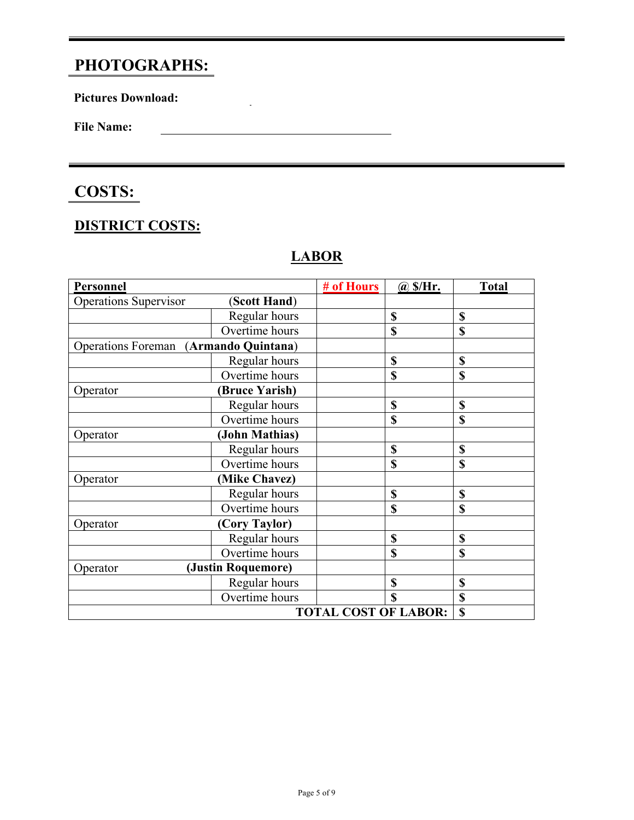## **PHOTOGRAPHS:**

**Pictures Download:**

**File Name:**

## **COSTS:**

### **DISTRICT COSTS:**

#### **LABOR**

 $\mathbb{Z}^2$ 

| Personnel                    |                      | # of Hours                  | @S/Hr.      | <b>Total</b> |
|------------------------------|----------------------|-----------------------------|-------------|--------------|
| <b>Operations Supervisor</b> | (Scott Hand)         |                             |             |              |
|                              | Regular hours        |                             | \$          | \$           |
|                              | Overtime hours       |                             | \$          | <b>S</b>     |
| <b>Operations Foreman</b>    | (Armando Quintana)   |                             |             |              |
|                              | Regular hours        |                             | \$          | \$           |
|                              | Overtime hours       |                             | \$          | \$           |
| Operator                     | <b>Bruce Yarish)</b> |                             |             |              |
|                              | Regular hours        |                             | \$          | \$           |
|                              | Overtime hours       |                             | \$          | \$           |
| Operator                     | (John Mathias)       |                             |             |              |
|                              | Regular hours        |                             | \$          | \$           |
|                              | Overtime hours       |                             | \$          | \$           |
| Operator                     | (Mike Chavez)        |                             |             |              |
|                              | Regular hours        |                             | \$          | \$           |
|                              | Overtime hours       |                             | \$          | \$           |
| Operator                     | (Cory Taylor)        |                             |             |              |
|                              | Regular hours        |                             | \$          | \$           |
|                              | Overtime hours       |                             | \$          | \$           |
| Operator                     | (Justin Roquemore)   |                             |             |              |
|                              | Regular hours        |                             | \$          | \$           |
|                              | Overtime hours       |                             | $\mathbf S$ | \$           |
|                              |                      | <b>TOTAL COST OF LABOR:</b> |             | \$           |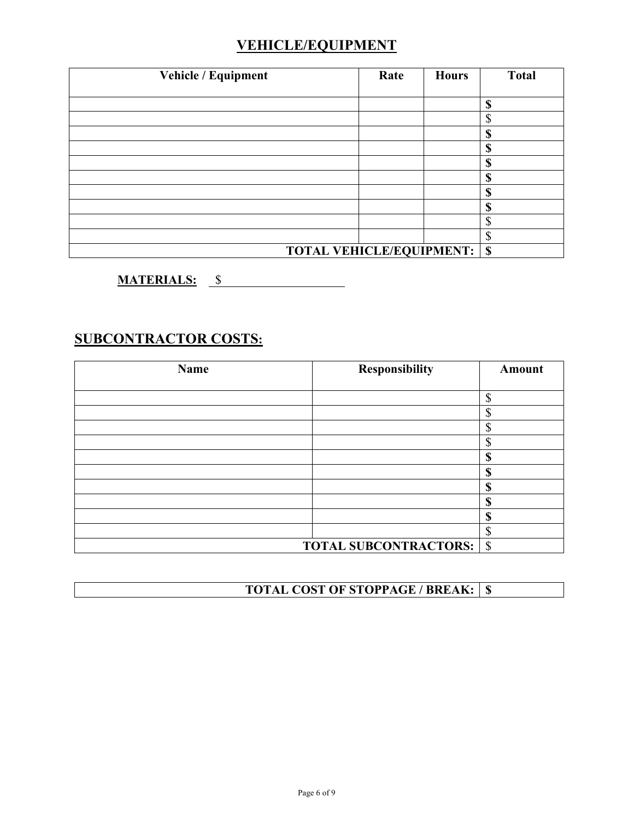#### **VEHICLE/EQUIPMENT**

| Vehicle / Equipment             | Rate | <b>Hours</b> | <b>Total</b>       |
|---------------------------------|------|--------------|--------------------|
|                                 |      |              |                    |
|                                 |      |              | \$                 |
|                                 |      |              | ¢<br>۵.            |
|                                 |      |              | \$                 |
|                                 |      |              | \$                 |
|                                 |      |              | \$                 |
|                                 |      |              | \$                 |
|                                 |      |              | S                  |
|                                 |      |              | ¢                  |
|                                 |      |              | ¢<br>D             |
|                                 |      |              | Φ<br>$\mathcal{D}$ |
| <b>TOTAL VEHICLE/EQUIPMENT:</b> |      |              | $\mathbf S$        |

**MATERIALS:** \$

#### **SUBCONTRACTOR COSTS:**

| <b>Name</b> | Responsibility                    | Amount  |
|-------------|-----------------------------------|---------|
|             |                                   |         |
|             |                                   | ጦ<br>٠D |
|             |                                   | Φ<br>۰D |
|             |                                   | ⋒       |
|             |                                   | ጦ       |
|             |                                   | æ       |
|             |                                   | ወ       |
|             |                                   | ጣ<br>J. |
|             |                                   | ጡ<br>D  |
|             |                                   | ወ<br>۱D |
|             |                                   | ጦ<br>J  |
|             | <b>TOTAL SUBCONTRACTORS:   \$</b> |         |

**TOTAL COST OF STOPPAGE / BREAK: \$**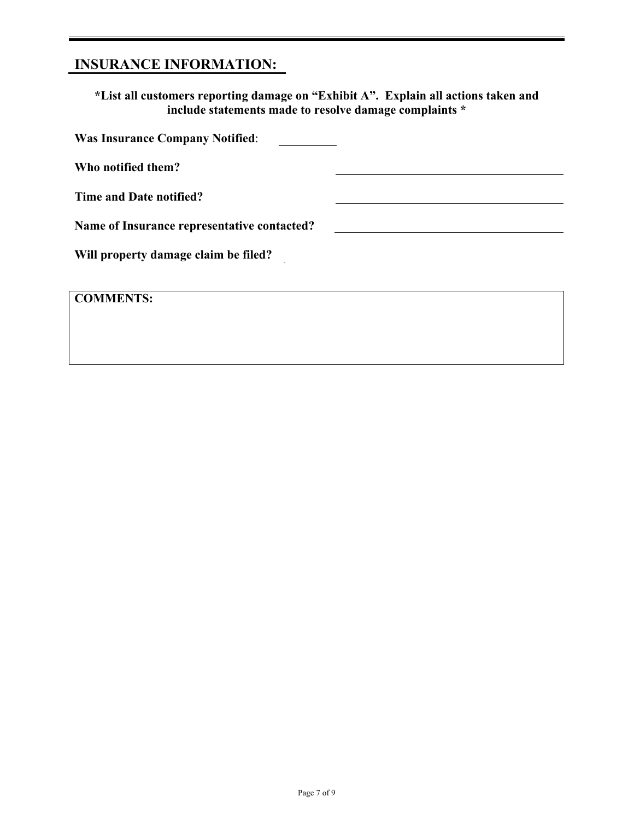## **INSURANCE INFORMATION:**

**\*List all customers reporting damage on "Exhibit A". Explain all actions taken and include statements made to resolve damage complaints \***

| <b>Was Insurance Company Notified:</b>      |  |
|---------------------------------------------|--|
| Who notified them?                          |  |
| Time and Date notified?                     |  |
| Name of Insurance representative contacted? |  |
| Will property damage claim be filed?        |  |
|                                             |  |
| <b>COMMENTS:</b>                            |  |
|                                             |  |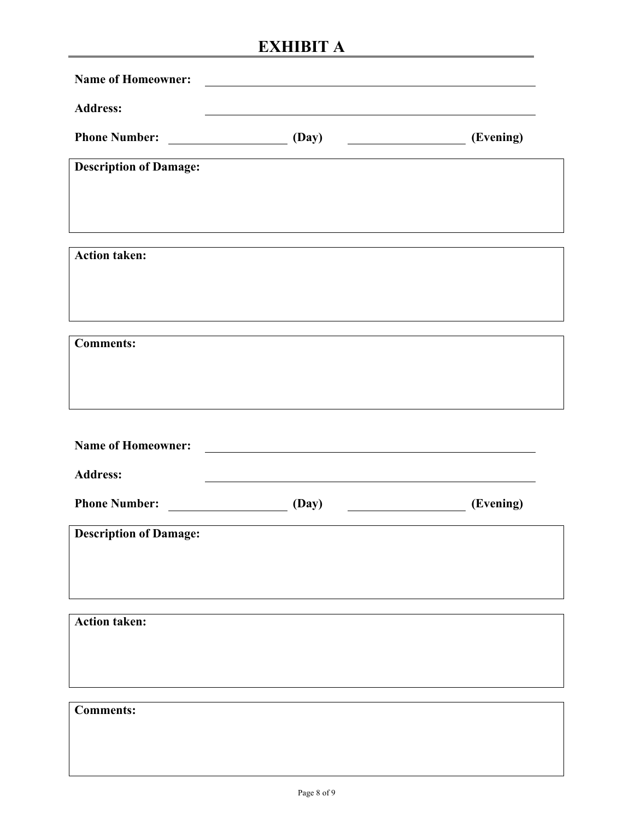## **EXHIBIT A**

| <b>Name of Homeowner:</b>     | <u> 1989 - John Stein, Amerikaansk politiker (</u>         |           |
|-------------------------------|------------------------------------------------------------|-----------|
| <b>Address:</b>               |                                                            |           |
| Phone Number: (Day)           |                                                            | (Evening) |
| <b>Description of Damage:</b> |                                                            |           |
|                               |                                                            |           |
|                               |                                                            |           |
| <b>Action taken:</b>          |                                                            |           |
|                               |                                                            |           |
|                               |                                                            |           |
| <b>Comments:</b>              |                                                            |           |
|                               |                                                            |           |
|                               |                                                            |           |
| <b>Name of Homeowner:</b>     | <u> 1989 - Andrea Station Barbara, politik a politik (</u> |           |
| <b>Address:</b>               |                                                            |           |
| Phone Number: (Day)           |                                                            | (Evening) |
| <b>Description of Damage:</b> |                                                            |           |
|                               |                                                            |           |
|                               |                                                            |           |
| <b>Action taken:</b>          |                                                            |           |
|                               |                                                            |           |
|                               |                                                            |           |
| <b>Comments:</b>              |                                                            |           |
|                               |                                                            |           |